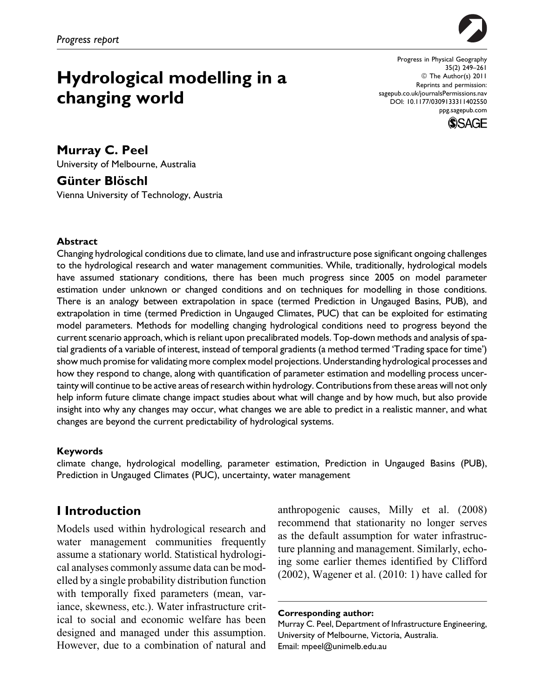

# Hydrological modelling in a changing world

Progress in Physical Geography 35(2) 249–261 © The Author(s) 2011 Reprints and permission: sagepub.co.uk/journalsPermissions.nav DOI: 10.1177/0309133311402550 ppg.sagepub.com



Murray C. Peel University of Melbourne, Australia Günter Blöschl

Vienna University of Technology, Austria

#### Abstract

Changing hydrological conditions due to climate, land use and infrastructure pose significant ongoing challenges to the hydrological research and water management communities. While, traditionally, hydrological models have assumed stationary conditions, there has been much progress since 2005 on model parameter estimation under unknown or changed conditions and on techniques for modelling in those conditions. There is an analogy between extrapolation in space (termed Prediction in Ungauged Basins, PUB), and extrapolation in time (termed Prediction in Ungauged Climates, PUC) that can be exploited for estimating model parameters. Methods for modelling changing hydrological conditions need to progress beyond the current scenario approach, which is reliant upon precalibrated models. Top-down methods and analysis of spatial gradients of a variable of interest, instead of temporal gradients (a method termed 'Trading space for time') show much promise for validating more complex model projections. Understanding hydrological processes and how they respond to change, along with quantification of parameter estimation and modelling process uncertainty will continue to be active areas of research within hydrology. Contributions from these areas will not only help inform future climate change impact studies about what will change and by how much, but also provide insight into why any changes may occur, what changes we are able to predict in a realistic manner, and what changes are beyond the current predictability of hydrological systems.

#### Keywords

climate change, hydrological modelling, parameter estimation, Prediction in Ungauged Basins (PUB), Prediction in Ungauged Climates (PUC), uncertainty, water management

# I Introduction

Models used within hydrological research and water management communities frequently assume a stationary world. Statistical hydrological analyses commonly assume data can be modelled by a single probability distribution function with temporally fixed parameters (mean, variance, skewness, etc.). Water infrastructure critical to social and economic welfare has been designed and managed under this assumption. However, due to a combination of natural and anthropogenic causes, Milly et al. (2008) recommend that stationarity no longer serves as the default assumption for water infrastructure planning and management. Similarly, echoing some earlier themes identified by Clifford (2002), Wagener et al. (2010: 1) have called for

Murray C. Peel, Department of Infrastructure Engineering, University of Melbourne, Victoria, Australia. Email: mpeel@unimelb.edu.au

Corresponding author: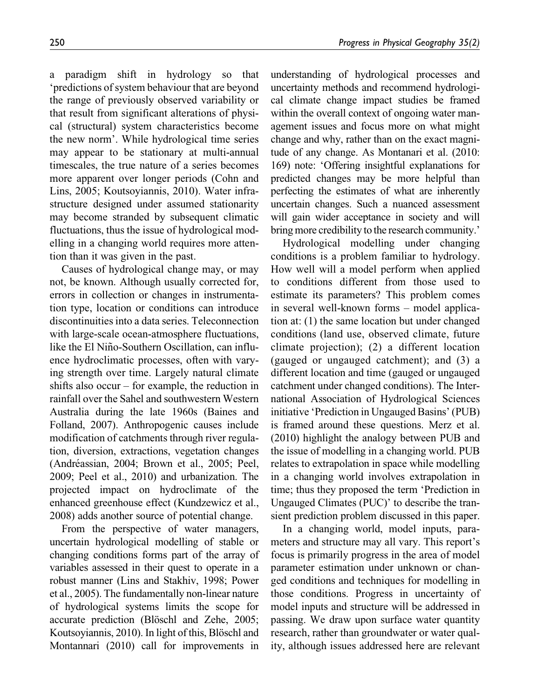a paradigm shift in hydrology so that 'predictions of system behaviour that are beyond the range of previously observed variability or that result from significant alterations of physical (structural) system characteristics become the new norm'. While hydrological time series may appear to be stationary at multi-annual timescales, the true nature of a series becomes more apparent over longer periods (Cohn and Lins, 2005; Koutsoyiannis, 2010). Water infrastructure designed under assumed stationarity may become stranded by subsequent climatic fluctuations, thus the issue of hydrological modelling in a changing world requires more attention than it was given in the past.

Causes of hydrological change may, or may not, be known. Although usually corrected for, errors in collection or changes in instrumentation type, location or conditions can introduce discontinuities into a data series. Teleconnection with large-scale ocean-atmosphere fluctuations, like the El Niño-Southern Oscillation, can influence hydroclimatic processes, often with varying strength over time. Largely natural climate shifts also occur – for example, the reduction in rainfall over the Sahel and southwestern Western Australia during the late 1960s (Baines and Folland, 2007). Anthropogenic causes include modification of catchments through river regulation, diversion, extractions, vegetation changes (Andréassian, 2004; Brown et al., 2005; Peel, 2009; Peel et al., 2010) and urbanization. The projected impact on hydroclimate of the enhanced greenhouse effect (Kundzewicz et al., 2008) adds another source of potential change.

From the perspective of water managers, uncertain hydrological modelling of stable or changing conditions forms part of the array of variables assessed in their quest to operate in a robust manner (Lins and Stakhiv, 1998; Power et al., 2005). The fundamentally non-linear nature of hydrological systems limits the scope for accurate prediction (Blöschl and Zehe, 2005; Koutsoviannis, 2010). In light of this, Blöschl and Montannari (2010) call for improvements in

understanding of hydrological processes and uncertainty methods and recommend hydrological climate change impact studies be framed within the overall context of ongoing water management issues and focus more on what might change and why, rather than on the exact magnitude of any change. As Montanari et al. (2010: 169) note: 'Offering insightful explanations for predicted changes may be more helpful than perfecting the estimates of what are inherently uncertain changes. Such a nuanced assessment will gain wider acceptance in society and will bring more credibility to the research community.'

Hydrological modelling under changing conditions is a problem familiar to hydrology. How well will a model perform when applied to conditions different from those used to estimate its parameters? This problem comes in several well-known forms – model application at: (1) the same location but under changed conditions (land use, observed climate, future climate projection); (2) a different location (gauged or ungauged catchment); and (3) a different location and time (gauged or ungauged catchment under changed conditions). The International Association of Hydrological Sciences initiative 'Prediction in Ungauged Basins' (PUB) is framed around these questions. Merz et al. (2010) highlight the analogy between PUB and the issue of modelling in a changing world. PUB relates to extrapolation in space while modelling in a changing world involves extrapolation in time; thus they proposed the term 'Prediction in Ungauged Climates (PUC)' to describe the transient prediction problem discussed in this paper.

In a changing world, model inputs, parameters and structure may all vary. This report's focus is primarily progress in the area of model parameter estimation under unknown or changed conditions and techniques for modelling in those conditions. Progress in uncertainty of model inputs and structure will be addressed in passing. We draw upon surface water quantity research, rather than groundwater or water quality, although issues addressed here are relevant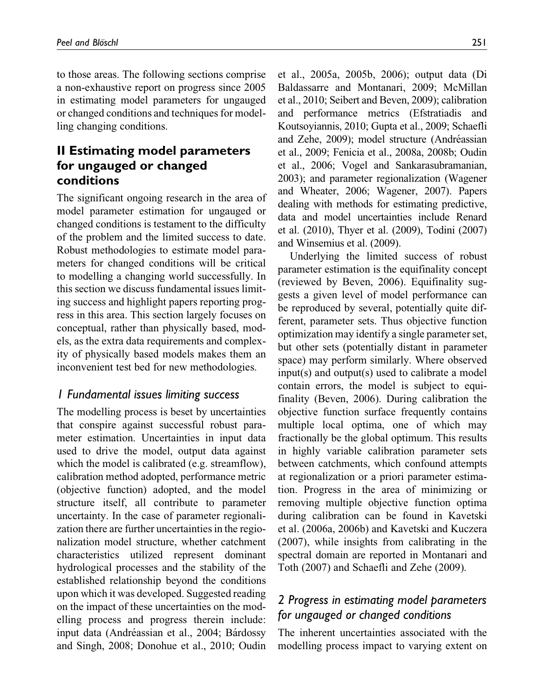to those areas. The following sections comprise a non-exhaustive report on progress since 2005 in estimating model parameters for ungauged or changed conditions and techniques for modelling changing conditions.

# II Estimating model parameters for ungauged or changed conditions

The significant ongoing research in the area of model parameter estimation for ungauged or changed conditions is testament to the difficulty of the problem and the limited success to date. Robust methodologies to estimate model parameters for changed conditions will be critical to modelling a changing world successfully. In this section we discuss fundamental issues limiting success and highlight papers reporting progress in this area. This section largely focuses on conceptual, rather than physically based, models, as the extra data requirements and complexity of physically based models makes them an inconvenient test bed for new methodologies.

## 1 Fundamental issues limiting success

The modelling process is beset by uncertainties that conspire against successful robust parameter estimation. Uncertainties in input data used to drive the model, output data against which the model is calibrated (e.g. streamflow), calibration method adopted, performance metric (objective function) adopted, and the model structure itself, all contribute to parameter uncertainty. In the case of parameter regionalization there are further uncertainties in the regionalization model structure, whether catchment characteristics utilized represent dominant hydrological processes and the stability of the established relationship beyond the conditions upon which it was developed. Suggested reading on the impact of these uncertainties on the modelling process and progress therein include: input data (Andréassian et al., 2004; Bárdossy and Singh, 2008; Donohue et al., 2010; Oudin et al., 2005a, 2005b, 2006); output data (Di Baldassarre and Montanari, 2009; McMillan et al., 2010; Seibert and Beven, 2009); calibration and performance metrics (Efstratiadis and Koutsoyiannis, 2010; Gupta et al., 2009; Schaefli and Zehe, 2009); model structure (Andréassian et al., 2009; Fenicia et al., 2008a, 2008b; Oudin et al., 2006; Vogel and Sankarasubramanian, 2003); and parameter regionalization (Wagener and Wheater, 2006; Wagener, 2007). Papers dealing with methods for estimating predictive, data and model uncertainties include Renard et al. (2010), Thyer et al. (2009), Todini (2007) and Winsemius et al. (2009).

Underlying the limited success of robust parameter estimation is the equifinality concept (reviewed by Beven, 2006). Equifinality suggests a given level of model performance can be reproduced by several, potentially quite different, parameter sets. Thus objective function optimization may identify a single parameter set, but other sets (potentially distant in parameter space) may perform similarly. Where observed input(s) and output(s) used to calibrate a model contain errors, the model is subject to equifinality (Beven, 2006). During calibration the objective function surface frequently contains multiple local optima, one of which may fractionally be the global optimum. This results in highly variable calibration parameter sets between catchments, which confound attempts at regionalization or a priori parameter estimation. Progress in the area of minimizing or removing multiple objective function optima during calibration can be found in Kavetski et al. (2006a, 2006b) and Kavetski and Kuczera (2007), while insights from calibrating in the spectral domain are reported in Montanari and Toth (2007) and Schaefli and Zehe (2009).

## 2 Progress in estimating model parameters for ungauged or changed conditions

The inherent uncertainties associated with the modelling process impact to varying extent on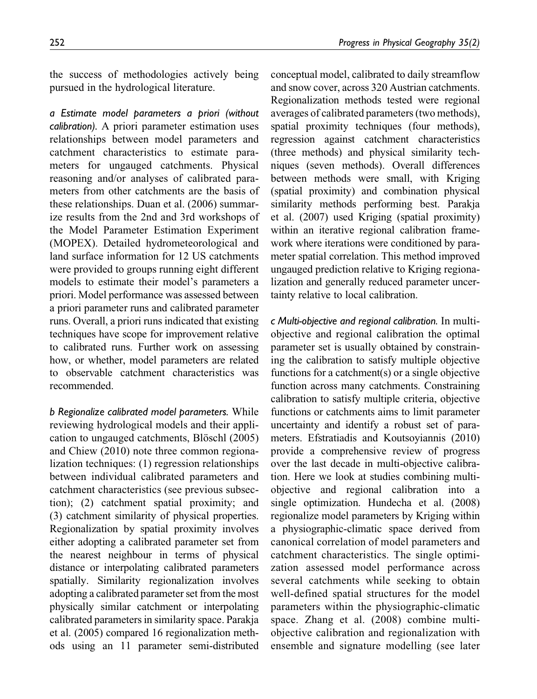the success of methodologies actively being pursued in the hydrological literature.

a Estimate model parameters a priori (without calibration). A priori parameter estimation uses relationships between model parameters and catchment characteristics to estimate parameters for ungauged catchments. Physical reasoning and/or analyses of calibrated parameters from other catchments are the basis of these relationships. Duan et al. (2006) summarize results from the 2nd and 3rd workshops of the Model Parameter Estimation Experiment (MOPEX). Detailed hydrometeorological and land surface information for 12 US catchments were provided to groups running eight different models to estimate their model's parameters a priori. Model performance was assessed between a priori parameter runs and calibrated parameter runs. Overall, a priori runs indicated that existing techniques have scope for improvement relative to calibrated runs. Further work on assessing how, or whether, model parameters are related to observable catchment characteristics was recommended.

b Regionalize calibrated model parameters. While reviewing hydrological models and their application to ungauged catchments, Blöschl (2005) and Chiew (2010) note three common regionalization techniques: (1) regression relationships between individual calibrated parameters and catchment characteristics (see previous subsection); (2) catchment spatial proximity; and (3) catchment similarity of physical properties. Regionalization by spatial proximity involves either adopting a calibrated parameter set from the nearest neighbour in terms of physical distance or interpolating calibrated parameters spatially. Similarity regionalization involves adopting a calibrated parameter set from the most physically similar catchment or interpolating calibrated parameters in similarity space. Parakja et al. (2005) compared 16 regionalization methods using an 11 parameter semi-distributed conceptual model, calibrated to daily streamflow and snow cover, across 320 Austrian catchments. Regionalization methods tested were regional averages of calibrated parameters (two methods), spatial proximity techniques (four methods), regression against catchment characteristics (three methods) and physical similarity techniques (seven methods). Overall differences between methods were small, with Kriging (spatial proximity) and combination physical similarity methods performing best. Parakja et al. (2007) used Kriging (spatial proximity) within an iterative regional calibration framework where iterations were conditioned by parameter spatial correlation. This method improved ungauged prediction relative to Kriging regionalization and generally reduced parameter uncertainty relative to local calibration.

c Multi-objective and regional calibration. In multiobjective and regional calibration the optimal parameter set is usually obtained by constraining the calibration to satisfy multiple objective functions for a catchment(s) or a single objective function across many catchments. Constraining calibration to satisfy multiple criteria, objective functions or catchments aims to limit parameter uncertainty and identify a robust set of parameters. Efstratiadis and Koutsoyiannis (2010) provide a comprehensive review of progress over the last decade in multi-objective calibration. Here we look at studies combining multiobjective and regional calibration into a single optimization. Hundecha et al. (2008) regionalize model parameters by Kriging within a physiographic-climatic space derived from canonical correlation of model parameters and catchment characteristics. The single optimization assessed model performance across several catchments while seeking to obtain well-defined spatial structures for the model parameters within the physiographic-climatic space. Zhang et al. (2008) combine multiobjective calibration and regionalization with ensemble and signature modelling (see later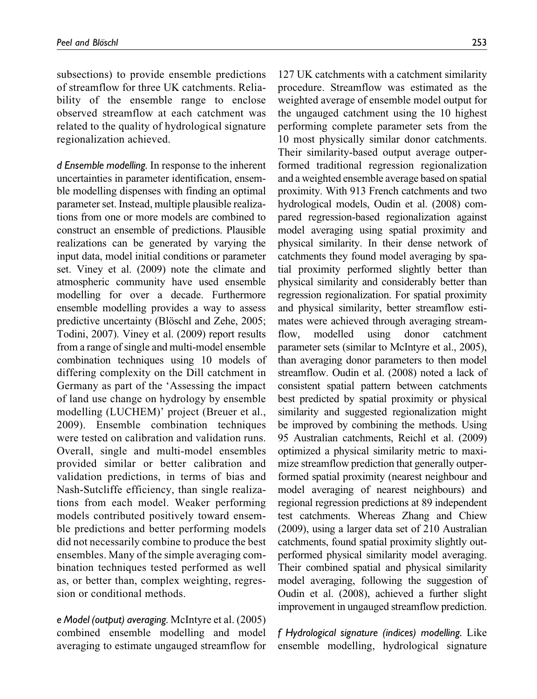subsections) to provide ensemble predictions of streamflow for three UK catchments. Reliability of the ensemble range to enclose observed streamflow at each catchment was related to the quality of hydrological signature regionalization achieved.

d Ensemble modelling. In response to the inherent uncertainties in parameter identification, ensemble modelling dispenses with finding an optimal parameter set. Instead, multiple plausible realizations from one or more models are combined to construct an ensemble of predictions. Plausible realizations can be generated by varying the input data, model initial conditions or parameter set. Viney et al. (2009) note the climate and atmospheric community have used ensemble modelling for over a decade. Furthermore ensemble modelling provides a way to assess predictive uncertainty (Blöschl and Zehe, 2005; Todini, 2007). Viney et al. (2009) report results from a range of single and multi-model ensemble combination techniques using 10 models of differing complexity on the Dill catchment in Germany as part of the 'Assessing the impact of land use change on hydrology by ensemble modelling (LUCHEM)' project (Breuer et al., 2009). Ensemble combination techniques were tested on calibration and validation runs. Overall, single and multi-model ensembles provided similar or better calibration and validation predictions, in terms of bias and Nash-Sutcliffe efficiency, than single realizations from each model. Weaker performing models contributed positively toward ensemble predictions and better performing models did not necessarily combine to produce the best ensembles. Many of the simple averaging combination techniques tested performed as well as, or better than, complex weighting, regression or conditional methods.

e Model (output) averaging. McIntyre et al. (2005) combined ensemble modelling and model averaging to estimate ungauged streamflow for

127 UK catchments with a catchment similarity procedure. Streamflow was estimated as the weighted average of ensemble model output for the ungauged catchment using the 10 highest performing complete parameter sets from the 10 most physically similar donor catchments. Their similarity-based output average outperformed traditional regression regionalization and a weighted ensemble average based on spatial proximity. With 913 French catchments and two hydrological models, Oudin et al. (2008) compared regression-based regionalization against model averaging using spatial proximity and physical similarity. In their dense network of catchments they found model averaging by spatial proximity performed slightly better than physical similarity and considerably better than regression regionalization. For spatial proximity and physical similarity, better streamflow estimates were achieved through averaging streamflow, modelled using donor catchment parameter sets (similar to McIntyre et al., 2005), than averaging donor parameters to then model streamflow. Oudin et al. (2008) noted a lack of consistent spatial pattern between catchments best predicted by spatial proximity or physical similarity and suggested regionalization might be improved by combining the methods. Using 95 Australian catchments, Reichl et al. (2009) optimized a physical similarity metric to maximize streamflow prediction that generally outperformed spatial proximity (nearest neighbour and model averaging of nearest neighbours) and regional regression predictions at 89 independent test catchments. Whereas Zhang and Chiew (2009), using a larger data set of 210 Australian catchments, found spatial proximity slightly outperformed physical similarity model averaging. Their combined spatial and physical similarity model averaging, following the suggestion of Oudin et al. (2008), achieved a further slight improvement in ungauged streamflow prediction.

f Hydrological signature (indices) modelling. Like ensemble modelling, hydrological signature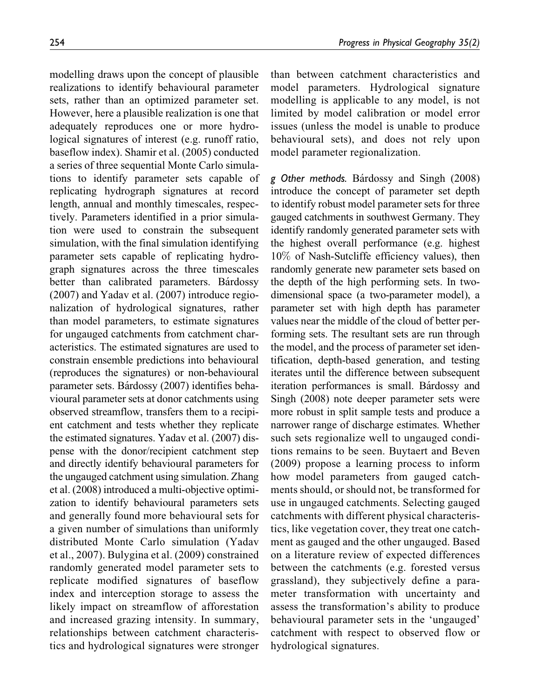modelling draws upon the concept of plausible realizations to identify behavioural parameter sets, rather than an optimized parameter set. However, here a plausible realization is one that adequately reproduces one or more hydrological signatures of interest (e.g. runoff ratio, baseflow index). Shamir et al. (2005) conducted a series of three sequential Monte Carlo simulations to identify parameter sets capable of replicating hydrograph signatures at record length, annual and monthly timescales, respectively. Parameters identified in a prior simulation were used to constrain the subsequent simulation, with the final simulation identifying parameter sets capable of replicating hydrograph signatures across the three timescales better than calibrated parameters. Bárdossy (2007) and Yadav et al. (2007) introduce regionalization of hydrological signatures, rather than model parameters, to estimate signatures for ungauged catchments from catchment characteristics. The estimated signatures are used to constrain ensemble predictions into behavioural (reproduces the signatures) or non-behavioural parameter sets. Bárdossy (2007) identifies behavioural parameter sets at donor catchments using observed streamflow, transfers them to a recipient catchment and tests whether they replicate the estimated signatures. Yadav et al. (2007) dispense with the donor/recipient catchment step and directly identify behavioural parameters for the ungauged catchment using simulation. Zhang et al. (2008) introduced a multi-objective optimization to identify behavioural parameters sets and generally found more behavioural sets for a given number of simulations than uniformly distributed Monte Carlo simulation (Yadav et al., 2007). Bulygina et al. (2009) constrained randomly generated model parameter sets to replicate modified signatures of baseflow index and interception storage to assess the likely impact on streamflow of afforestation and increased grazing intensity. In summary, relationships between catchment characteristics and hydrological signatures were stronger

than between catchment characteristics and model parameters. Hydrological signature modelling is applicable to any model, is not limited by model calibration or model error issues (unless the model is unable to produce behavioural sets), and does not rely upon model parameter regionalization.

g Other methods. Bárdossy and Singh (2008) introduce the concept of parameter set depth to identify robust model parameter sets for three gauged catchments in southwest Germany. They identify randomly generated parameter sets with the highest overall performance (e.g. highest 10% of Nash-Sutcliffe efficiency values), then randomly generate new parameter sets based on the depth of the high performing sets. In twodimensional space (a two-parameter model), a parameter set with high depth has parameter values near the middle of the cloud of better performing sets. The resultant sets are run through the model, and the process of parameter set identification, depth-based generation, and testing iterates until the difference between subsequent iteration performances is small. Bárdossy and Singh (2008) note deeper parameter sets were more robust in split sample tests and produce a narrower range of discharge estimates. Whether such sets regionalize well to ungauged conditions remains to be seen. Buytaert and Beven (2009) propose a learning process to inform how model parameters from gauged catchments should, or should not, be transformed for use in ungauged catchments. Selecting gauged catchments with different physical characteristics, like vegetation cover, they treat one catchment as gauged and the other ungauged. Based on a literature review of expected differences between the catchments (e.g. forested versus grassland), they subjectively define a parameter transformation with uncertainty and assess the transformation's ability to produce behavioural parameter sets in the 'ungauged' catchment with respect to observed flow or hydrological signatures.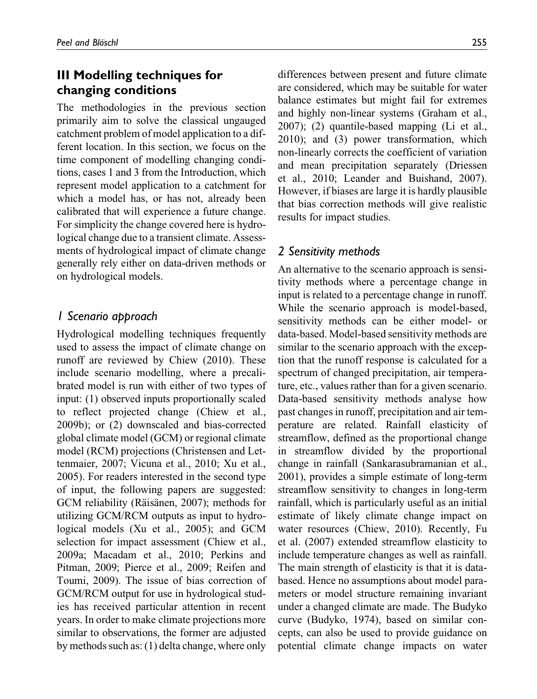## III Modelling techniques for changing conditions

The methodologies in the previous section primarily aim to solve the classical ungauged catchment problem of model application to a different location. In this section, we focus on the time component of modelling changing conditions, cases 1 and 3 from the Introduction, which represent model application to a catchment for which a model has, or has not, already been calibrated that will experience a future change. For simplicity the change covered here is hydrological change due to a transient climate. Assessments of hydrological impact of climate change generally rely either on data-driven methods or on hydrological models.

## 1 Scenario approach

Hydrological modelling techniques frequently used to assess the impact of climate change on runoff are reviewed by Chiew (2010). These include scenario modelling, where a precalibrated model is run with either of two types of input: (1) observed inputs proportionally scaled to reflect projected change (Chiew et al., 2009b); or (2) downscaled and bias-corrected global climate model (GCM) or regional climate model (RCM) projections (Christensen and Lettenmaier, 2007; Vicuna et al., 2010; Xu et al., 2005). For readers interested in the second type of input, the following papers are suggested: GCM reliability (Räisänen, 2007); methods for utilizing GCM/RCM outputs as input to hydrological models (Xu et al., 2005); and GCM selection for impact assessment (Chiew et al., 2009a; Macadam et al., 2010; Perkins and Pitman, 2009; Pierce et al., 2009; Reifen and Toumi, 2009). The issue of bias correction of GCM/RCM output for use in hydrological studies has received particular attention in recent years. In order to make climate projections more similar to observations, the former are adjusted by methods such as: (1) delta change, where only differences between present and future climate are considered, which may be suitable for water balance estimates but might fail for extremes and highly non-linear systems (Graham et al., 2007); (2) quantile-based mapping (Li et al., 2010); and (3) power transformation, which non-linearly corrects the coefficient of variation and mean precipitation separately (Driessen et al., 2010; Leander and Buishand, 2007). However, if biases are large it is hardly plausible that bias correction methods will give realistic results for impact studies.

## 2 Sensitivity methods

An alternative to the scenario approach is sensitivity methods where a percentage change in input is related to a percentage change in runoff. While the scenario approach is model-based, sensitivity methods can be either model- or data-based. Model-based sensitivity methods are similar to the scenario approach with the exception that the runoff response is calculated for a spectrum of changed precipitation, air temperature, etc., values rather than for a given scenario. Data-based sensitivity methods analyse how past changes in runoff, precipitation and air temperature are related. Rainfall elasticity of streamflow, defined as the proportional change in streamflow divided by the proportional change in rainfall (Sankarasubramanian et al., 2001), provides a simple estimate of long-term streamflow sensitivity to changes in long-term rainfall, which is particularly useful as an initial estimate of likely climate change impact on water resources (Chiew, 2010). Recently, Fu et al. (2007) extended streamflow elasticity to include temperature changes as well as rainfall. The main strength of elasticity is that it is databased. Hence no assumptions about model parameters or model structure remaining invariant under a changed climate are made. The Budyko curve (Budyko, 1974), based on similar concepts, can also be used to provide guidance on potential climate change impacts on water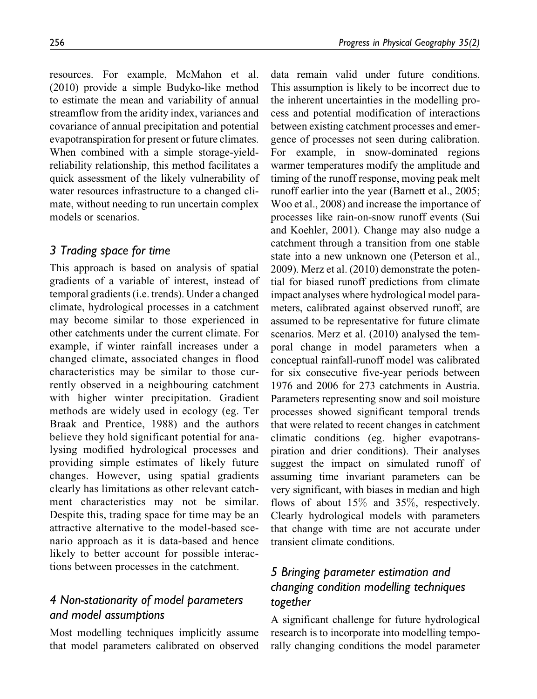resources. For example, McMahon et al. (2010) provide a simple Budyko-like method to estimate the mean and variability of annual streamflow from the aridity index, variances and covariance of annual precipitation and potential evapotranspiration for present or future climates. When combined with a simple storage-yieldreliability relationship, this method facilitates a quick assessment of the likely vulnerability of water resources infrastructure to a changed climate, without needing to run uncertain complex models or scenarios.

## 3 Trading space for time

This approach is based on analysis of spatial gradients of a variable of interest, instead of temporal gradients (i.e. trends). Under a changed climate, hydrological processes in a catchment may become similar to those experienced in other catchments under the current climate. For example, if winter rainfall increases under a changed climate, associated changes in flood characteristics may be similar to those currently observed in a neighbouring catchment with higher winter precipitation. Gradient methods are widely used in ecology (eg. Ter Braak and Prentice, 1988) and the authors believe they hold significant potential for analysing modified hydrological processes and providing simple estimates of likely future changes. However, using spatial gradients clearly has limitations as other relevant catchment characteristics may not be similar. Despite this, trading space for time may be an attractive alternative to the model-based scenario approach as it is data-based and hence likely to better account for possible interactions between processes in the catchment.

## 4 Non-stationarity of model parameters and model assumptions

Most modelling techniques implicitly assume that model parameters calibrated on observed data remain valid under future conditions. This assumption is likely to be incorrect due to the inherent uncertainties in the modelling process and potential modification of interactions between existing catchment processes and emergence of processes not seen during calibration. For example, in snow-dominated regions warmer temperatures modify the amplitude and timing of the runoff response, moving peak melt runoff earlier into the year (Barnett et al., 2005; Woo et al., 2008) and increase the importance of processes like rain-on-snow runoff events (Sui and Koehler, 2001). Change may also nudge a catchment through a transition from one stable state into a new unknown one (Peterson et al., 2009). Merz et al. (2010) demonstrate the potential for biased runoff predictions from climate impact analyses where hydrological model parameters, calibrated against observed runoff, are assumed to be representative for future climate scenarios. Merz et al. (2010) analysed the temporal change in model parameters when a conceptual rainfall-runoff model was calibrated for six consecutive five-year periods between 1976 and 2006 for 273 catchments in Austria. Parameters representing snow and soil moisture processes showed significant temporal trends that were related to recent changes in catchment climatic conditions (eg. higher evapotranspiration and drier conditions). Their analyses suggest the impact on simulated runoff of assuming time invariant parameters can be very significant, with biases in median and high flows of about 15% and 35%, respectively. Clearly hydrological models with parameters that change with time are not accurate under transient climate conditions.

# 5 Bringing parameter estimation and changing condition modelling techniques together

A significant challenge for future hydrological research is to incorporate into modelling temporally changing conditions the model parameter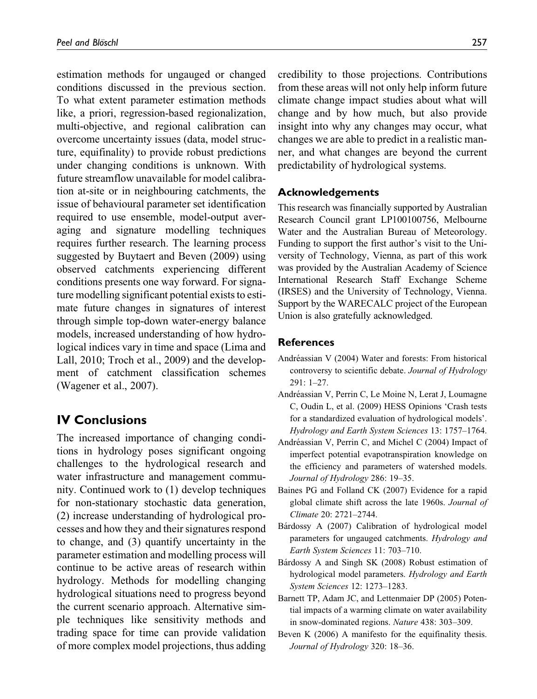estimation methods for ungauged or changed conditions discussed in the previous section. To what extent parameter estimation methods like, a priori, regression-based regionalization, multi-objective, and regional calibration can overcome uncertainty issues (data, model structure, equifinality) to provide robust predictions under changing conditions is unknown. With future streamflow unavailable for model calibration at-site or in neighbouring catchments, the issue of behavioural parameter set identification required to use ensemble, model-output averaging and signature modelling techniques requires further research. The learning process suggested by Buytaert and Beven (2009) using observed catchments experiencing different conditions presents one way forward. For signature modelling significant potential exists to estimate future changes in signatures of interest through simple top-down water-energy balance models, increased understanding of how hydrological indices vary in time and space (Lima and Lall, 2010; Troch et al., 2009) and the development of catchment classification schemes (Wagener et al., 2007).

## IV Conclusions

The increased importance of changing conditions in hydrology poses significant ongoing challenges to the hydrological research and water infrastructure and management community. Continued work to (1) develop techniques for non-stationary stochastic data generation, (2) increase understanding of hydrological processes and how they and their signatures respond to change, and (3) quantify uncertainty in the parameter estimation and modelling process will continue to be active areas of research within hydrology. Methods for modelling changing hydrological situations need to progress beyond the current scenario approach. Alternative simple techniques like sensitivity methods and trading space for time can provide validation of more complex model projections, thus adding credibility to those projections. Contributions from these areas will not only help inform future climate change impact studies about what will change and by how much, but also provide insight into why any changes may occur, what changes we are able to predict in a realistic manner, and what changes are beyond the current predictability of hydrological systems.

#### Acknowledgements

This research was financially supported by Australian Research Council grant LP100100756, Melbourne Water and the Australian Bureau of Meteorology. Funding to support the first author's visit to the University of Technology, Vienna, as part of this work was provided by the Australian Academy of Science International Research Staff Exchange Scheme (IRSES) and the University of Technology, Vienna. Support by the WARECALC project of the European Union is also gratefully acknowledged.

#### References

- Andréassian V (2004) Water and forests: From historical controversy to scientific debate. Journal of Hydrology 291: 1–27.
- Andréassian V, Perrin C, Le Moine N, Lerat J, Loumagne C, Oudin L, et al. (2009) HESS Opinions 'Crash tests for a standardized evaluation of hydrological models'. Hydrology and Earth System Sciences 13: 1757–1764.
- Andréassian V, Perrin C, and Michel C (2004) Impact of imperfect potential evapotranspiration knowledge on the efficiency and parameters of watershed models. Journal of Hydrology 286: 19–35.
- Baines PG and Folland CK (2007) Evidence for a rapid global climate shift across the late 1960s. Journal of Climate 20: 2721–2744.
- Bárdossy A (2007) Calibration of hydrological model parameters for ungauged catchments. Hydrology and Earth System Sciences 11: 703–710.
- Bárdossy A and Singh SK (2008) Robust estimation of hydrological model parameters. Hydrology and Earth System Sciences 12: 1273–1283.
- Barnett TP, Adam JC, and Lettenmaier DP (2005) Potential impacts of a warming climate on water availability in snow-dominated regions. Nature 438: 303–309.
- Beven K (2006) A manifesto for the equifinality thesis. Journal of Hydrology 320: 18–36.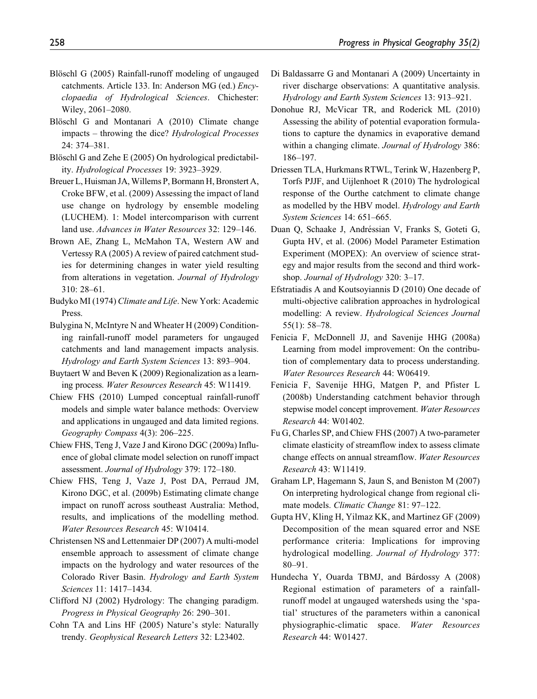- Blöschl G (2005) Rainfall-runoff modeling of ungauged catchments. Article 133. In: Anderson MG (ed.) Encyclopaedia of Hydrological Sciences. Chichester: Wiley, 2061–2080.
- Blöschl G and Montanari A (2010) Climate change impacts – throwing the dice? Hydrological Processes 24: 374–381.
- Blöschl G and Zehe E (2005) On hydrological predictability. Hydrological Processes 19: 3923–3929.
- Breuer L, Huisman JA, Willems P, Bormann H, Bronstert A, Croke BFW, et al. (2009) Assessing the impact of land use change on hydrology by ensemble modeling (LUCHEM). 1: Model intercomparison with current land use. Advances in Water Resources 32: 129–146.
- Brown AE, Zhang L, McMahon TA, Western AW and Vertessy RA (2005) A review of paired catchment studies for determining changes in water yield resulting from alterations in vegetation. Journal of Hydrology 310: 28–61.
- Budyko MI (1974) Climate and Life. New York: Academic Press.
- Bulygina N, McIntyre N and Wheater H (2009) Conditioning rainfall-runoff model parameters for ungauged catchments and land management impacts analysis. Hydrology and Earth System Sciences 13: 893–904.
- Buytaert W and Beven K (2009) Regionalization as a learning process. Water Resources Research 45: W11419.
- Chiew FHS (2010) Lumped conceptual rainfall-runoff models and simple water balance methods: Overview and applications in ungauged and data limited regions. Geography Compass 4(3): 206–225.
- Chiew FHS, Teng J, Vaze J and Kirono DGC (2009a) Influence of global climate model selection on runoff impact assessment. Journal of Hydrology 379: 172–180.
- Chiew FHS, Teng J, Vaze J, Post DA, Perraud JM, Kirono DGC, et al. (2009b) Estimating climate change impact on runoff across southeast Australia: Method, results, and implications of the modelling method. Water Resources Research 45: W10414.
- Christensen NS and Lettenmaier DP (2007) A multi-model ensemble approach to assessment of climate change impacts on the hydrology and water resources of the Colorado River Basin. Hydrology and Earth System Sciences 11: 1417–1434.
- Clifford NJ (2002) Hydrology: The changing paradigm. Progress in Physical Geography 26: 290–301.
- Cohn TA and Lins HF (2005) Nature's style: Naturally trendy. Geophysical Research Letters 32: L23402.
- Di Baldassarre G and Montanari A (2009) Uncertainty in river discharge observations: A quantitative analysis. Hydrology and Earth System Sciences 13: 913–921.
- Donohue RJ, McVicar TR, and Roderick ML (2010) Assessing the ability of potential evaporation formulations to capture the dynamics in evaporative demand within a changing climate. Journal of Hydrology 386: 186–197.
- Driessen TLA, Hurkmans RTWL, Terink W, Hazenberg P, Torfs PJJF, and Uijlenhoet R (2010) The hydrological response of the Ourthe catchment to climate change as modelled by the HBV model. Hydrology and Earth System Sciences 14: 651–665.
- Duan Q, Schaake J, Andréssian V, Franks S, Goteti G, Gupta HV, et al. (2006) Model Parameter Estimation Experiment (MOPEX): An overview of science strategy and major results from the second and third workshop. Journal of Hydrology 320: 3–17.
- Efstratiadis A and Koutsoyiannis D (2010) One decade of multi-objective calibration approaches in hydrological modelling: A review. Hydrological Sciences Journal 55(1): 58–78.
- Fenicia F, McDonnell JJ, and Savenije HHG (2008a) Learning from model improvement: On the contribution of complementary data to process understanding. Water Resources Research 44: W06419.
- Fenicia F, Savenije HHG, Matgen P, and Pfister L (2008b) Understanding catchment behavior through stepwise model concept improvement. Water Resources Research 44: W01402.
- Fu G, Charles SP, and Chiew FHS (2007) A two-parameter climate elasticity of streamflow index to assess climate change effects on annual streamflow. Water Resources Research 43: W11419.
- Graham LP, Hagemann S, Jaun S, and Beniston M (2007) On interpreting hydrological change from regional climate models. Climatic Change 81: 97–122.
- Gupta HV, Kling H, Yilmaz KK, and Martinez GF (2009) Decomposition of the mean squared error and NSE performance criteria: Implications for improving hydrological modelling. Journal of Hydrology 377: 80–91.
- Hundecha Y, Ouarda TBMJ, and Bárdossy A (2008) Regional estimation of parameters of a rainfallrunoff model at ungauged watersheds using the 'spatial' structures of the parameters within a canonical physiographic-climatic space. Water Resources Research 44: W01427.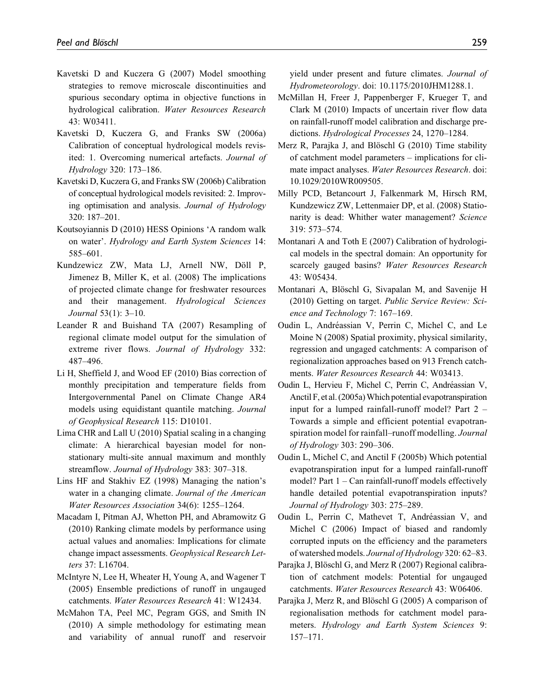- Kavetski D and Kuczera G (2007) Model smoothing strategies to remove microscale discontinuities and spurious secondary optima in objective functions in hydrological calibration. Water Resources Research 43: W03411.
- Kavetski D, Kuczera G, and Franks SW (2006a) Calibration of conceptual hydrological models revisited: 1. Overcoming numerical artefacts. Journal of Hydrology 320: 173–186.
- Kavetski D, Kuczera G, and Franks SW (2006b) Calibration of conceptual hydrological models revisited: 2. Improving optimisation and analysis. Journal of Hydrology 320: 187–201.
- Koutsoyiannis D (2010) HESS Opinions 'A random walk on water'. Hydrology and Earth System Sciences 14: 585–601.
- Kundzewicz ZW, Mata LJ, Arnell NW, Döll P, Jimenez B, Miller K, et al. (2008) The implications of projected climate change for freshwater resources and their management. Hydrological Sciences Journal 53(1): 3–10.
- Leander R and Buishand TA (2007) Resampling of regional climate model output for the simulation of extreme river flows. Journal of Hydrology 332: 487–496.
- Li H, Sheffield J, and Wood EF (2010) Bias correction of monthly precipitation and temperature fields from Intergovernmental Panel on Climate Change AR4 models using equidistant quantile matching. Journal of Geophysical Research 115: D10101.
- Lima CHR and Lall U (2010) Spatial scaling in a changing climate: A hierarchical bayesian model for nonstationary multi-site annual maximum and monthly streamflow. Journal of Hydrology 383: 307–318.
- Lins HF and Stakhiv EZ (1998) Managing the nation's water in a changing climate. Journal of the American Water Resources Association 34(6): 1255–1264.
- Macadam I, Pitman AJ, Whetton PH, and Abramowitz G (2010) Ranking climate models by performance using actual values and anomalies: Implications for climate change impact assessments. Geophysical Research Letters 37: L16704.
- McIntyre N, Lee H, Wheater H, Young A, and Wagener T (2005) Ensemble predictions of runoff in ungauged catchments. Water Resources Research 41: W12434.
- McMahon TA, Peel MC, Pegram GGS, and Smith IN (2010) A simple methodology for estimating mean and variability of annual runoff and reservoir

yield under present and future climates. Journal of Hydrometeorology. doi: 10.1175/2010JHM1288.1.

- McMillan H, Freer J, Pappenberger F, Krueger T, and Clark M (2010) Impacts of uncertain river flow data on rainfall-runoff model calibration and discharge predictions. Hydrological Processes 24, 1270–1284.
- Merz R, Parajka J, and Blöschl G  $(2010)$  Time stability of catchment model parameters – implications for climate impact analyses. Water Resources Research. doi: 10.1029/2010WR009505.
- Milly PCD, Betancourt J, Falkenmark M, Hirsch RM, Kundzewicz ZW, Lettenmaier DP, et al. (2008) Stationarity is dead: Whither water management? Science 319: 573–574.
- Montanari A and Toth E (2007) Calibration of hydrological models in the spectral domain: An opportunity for scarcely gauged basins? Water Resources Research 43: W05434.
- Montanari A, Blöschl G, Sivapalan M, and Savenije H (2010) Getting on target. Public Service Review: Science and Technology 7: 167–169.
- Oudin L, Andréassian V, Perrin C, Michel C, and Le Moine N (2008) Spatial proximity, physical similarity, regression and ungaged catchments: A comparison of regionalization approaches based on 913 French catchments. Water Resources Research 44: W03413.
- Oudin L, Hervieu F, Michel C, Perrin C, Andréassian V, Anctil F, et al. (2005a) Which potential evapotranspiration input for a lumped rainfall-runoff model? Part 2 – Towards a simple and efficient potential evapotranspiration model for rainfall–runoff modelling. Journal of Hydrology 303: 290–306.
- Oudin L, Michel C, and Anctil F (2005b) Which potential evapotranspiration input for a lumped rainfall-runoff model? Part 1 – Can rainfall-runoff models effectively handle detailed potential evapotranspiration inputs? Journal of Hydrology 303: 275–289.
- Oudin L, Perrin C, Mathevet T, Andréassian V, and Michel C (2006) Impact of biased and randomly corrupted inputs on the efficiency and the parameters of watershed models. Journal of Hydrology 320: 62–83.
- Parajka J, Blöschl G, and Merz R (2007) Regional calibration of catchment models: Potential for ungauged catchments. Water Resources Research 43: W06406.
- Parajka J, Merz R, and Blöschl G (2005) A comparison of regionalisation methods for catchment model parameters. Hydrology and Earth System Sciences 9: 157–171.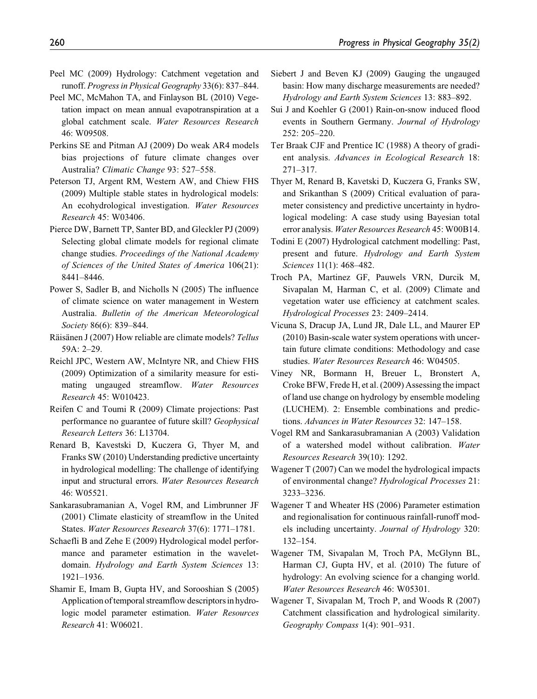- Peel MC (2009) Hydrology: Catchment vegetation and runoff. Progress in Physical Geography 33(6): 837–844.
- Peel MC, McMahon TA, and Finlayson BL (2010) Vegetation impact on mean annual evapotranspiration at a global catchment scale. Water Resources Research 46: W09508.
- Perkins SE and Pitman AJ (2009) Do weak AR4 models bias projections of future climate changes over Australia? Climatic Change 93: 527–558.
- Peterson TJ, Argent RM, Western AW, and Chiew FHS (2009) Multiple stable states in hydrological models: An ecohydrological investigation. Water Resources Research 45: W03406.
- Pierce DW, Barnett TP, Santer BD, and Gleckler PJ (2009) Selecting global climate models for regional climate change studies. Proceedings of the National Academy of Sciences of the United States of America 106(21): 8441–8446.
- Power S, Sadler B, and Nicholls N (2005) The influence of climate science on water management in Western Australia. Bulletin of the American Meteorological Society 86(6): 839–844.
- Räisänen J (2007) How reliable are climate models? Tellus 59A: 2–29.
- Reichl JPC, Western AW, McIntyre NR, and Chiew FHS (2009) Optimization of a similarity measure for estimating ungauged streamflow. Water Resources Research 45: W010423.
- Reifen C and Toumi R (2009) Climate projections: Past performance no guarantee of future skill? Geophysical Research Letters 36: L13704.
- Renard B, Kavestski D, Kuczera G, Thyer M, and Franks SW (2010) Understanding predictive uncertainty in hydrological modelling: The challenge of identifying input and structural errors. Water Resources Research 46: W05521.
- Sankarasubramanian A, Vogel RM, and Limbrunner JF (2001) Climate elasticity of streamflow in the United States. Water Resources Research 37(6): 1771–1781.
- Schaefli B and Zehe E (2009) Hydrological model performance and parameter estimation in the waveletdomain. Hydrology and Earth System Sciences 13: 1921–1936.
- Shamir E, Imam B, Gupta HV, and Sorooshian S (2005) Application of temporal streamflow descriptorsin hydrologic model parameter estimation. Water Resources Research 41: W06021.
- Siebert J and Beven KJ (2009) Gauging the ungauged basin: How many discharge measurements are needed? Hydrology and Earth System Sciences 13: 883–892.
- Sui J and Koehler G (2001) Rain-on-snow induced flood events in Southern Germany. Journal of Hydrology 252: 205–220.
- Ter Braak CJF and Prentice IC (1988) A theory of gradient analysis. Advances in Ecological Research 18: 271–317.
- Thyer M, Renard B, Kavetski D, Kuczera G, Franks SW, and Srikanthan S (2009) Critical evaluation of parameter consistency and predictive uncertainty in hydrological modeling: A case study using Bayesian total error analysis. Water Resources Research 45: W00B14.
- Todini E (2007) Hydrological catchment modelling: Past, present and future. Hydrology and Earth System Sciences 11(1): 468-482.
- Troch PA, Martinez GF, Pauwels VRN, Durcik M, Sivapalan M, Harman C, et al. (2009) Climate and vegetation water use efficiency at catchment scales. Hydrological Processes 23: 2409–2414.
- Vicuna S, Dracup JA, Lund JR, Dale LL, and Maurer EP (2010) Basin-scale water system operations with uncertain future climate conditions: Methodology and case studies. Water Resources Research 46: W04505.
- Viney NR, Bormann H, Breuer L, Bronstert A, Croke BFW, Frede H, et al. (2009) Assessing the impact of land use change on hydrology by ensemble modeling (LUCHEM). 2: Ensemble combinations and predictions. Advances in Water Resources 32: 147–158.
- Vogel RM and Sankarasubramanian A (2003) Validation of a watershed model without calibration. Water Resources Research 39(10): 1292.
- Wagener T (2007) Can we model the hydrological impacts of environmental change? Hydrological Processes 21: 3233–3236.
- Wagener T and Wheater HS (2006) Parameter estimation and regionalisation for continuous rainfall-runoff models including uncertainty. Journal of Hydrology 320: 132–154.
- Wagener TM, Sivapalan M, Troch PA, McGlynn BL, Harman CJ, Gupta HV, et al. (2010) The future of hydrology: An evolving science for a changing world. Water Resources Research 46: W05301.
- Wagener T, Sivapalan M, Troch P, and Woods R (2007) Catchment classification and hydrological similarity. Geography Compass 1(4): 901–931.